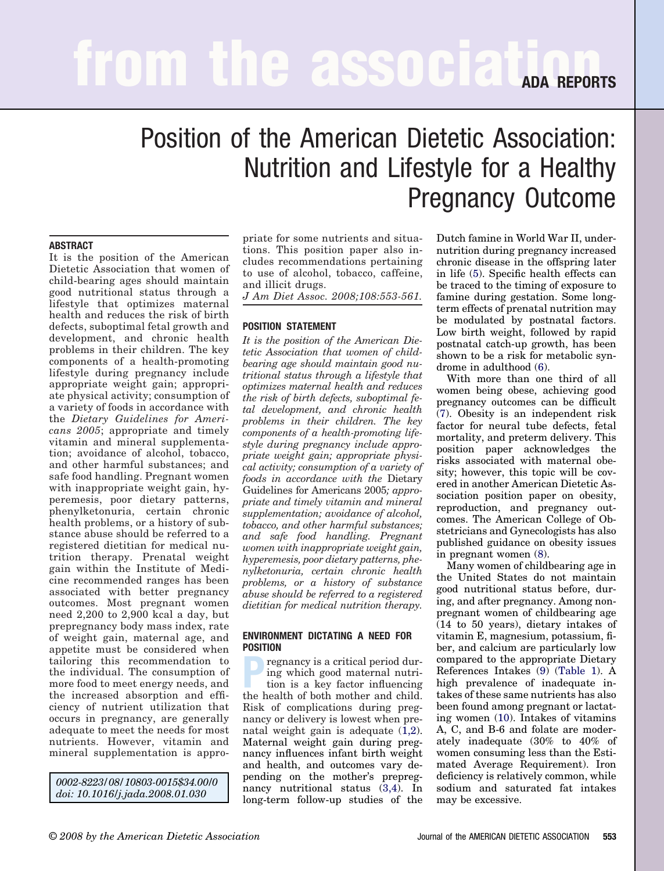# **from the association REPORTS**

# Position of the American Dietetic Association: Nutrition and Lifestyle for a Healthy Pregnancy Outcome

#### **ABSTRACT**

It is the position of the American Dietetic Association that women of child-bearing ages should maintain good nutritional status through a lifestyle that optimizes maternal health and reduces the risk of birth defects, suboptimal fetal growth and development, and chronic health problems in their children. The key components of a health-promoting lifestyle during pregnancy include appropriate weight gain; appropriate physical activity; consumption of a variety of foods in accordance with the *Dietary Guidelines for Americans 2005*; appropriate and timely vitamin and mineral supplementation; avoidance of alcohol, tobacco, and other harmful substances; and safe food handling. Pregnant women with inappropriate weight gain, hyperemesis, poor dietary patterns, phenylketonuria, certain chronic health problems, or a history of substance abuse should be referred to a registered dietitian for medical nutrition therapy. Prenatal weight gain within the Institute of Medicine recommended ranges has been associated with better pregnancy outcomes. Most pregnant women need 2,200 to 2,900 kcal a day, but prepregnancy body mass index, rate of weight gain, maternal age, and appetite must be considered when tailoring this recommendation to the individual. The consumption of more food to meet energy needs, and the increased absorption and efficiency of nutrient utilization that occurs in pregnancy, are generally adequate to meet the needs for most nutrients. However, vitamin and mineral supplementation is appro-

*0002-8223/08/10803-0015\$34.00/0 doi: 10.1016/j.jada.2008.01.030*

priate for some nutrients and situations. This position paper also includes recommendations pertaining to use of alcohol, tobacco, caffeine, and illicit drugs.

*J Am Diet Assoc. 2008;108:553-561.*

#### **POSITION STATEMENT**

*It is the position of the American Dietetic Association that women of childbearing age should maintain good nutritional status through a lifestyle that optimizes maternal health and reduces the risk of birth defects, suboptimal fetal development, and chronic health problems in their children. The key components of a health-promoting lifestyle during pregnancy include appropriate weight gain; appropriate physical activity; consumption of a variety of foods in accordance with the* Dietary Guidelines for Americans 2005*; appropriate and timely vitamin and mineral supplementation; avoidance of alcohol, tobacco, and other harmful substances; and safe food handling. Pregnant women with inappropriate weight gain, hyperemesis, poor dietary patterns, phenylketonuria, certain chronic health problems, or a history of substance abuse should be referred to a registered dietitian for medical nutrition therapy.*

#### **ENVIRONMENT DICTATING A NEED FOR POSITION**

**Pregnancy is a critical period during which good maternal nutrition is a key factor influencing** ing which good maternal nutrithe health of both mother and child. Risk of complications during pregnancy or delivery is lowest when prenatal weight gain is adequate  $(1,2)$ . Maternal weight gain during pregnancy influences infant birth weight and health, and outcomes vary depending on the mother's prepregnancy nutritional status [\(3,4\)](#page-6-0). In long-term follow-up studies of the

Dutch famine in World War II, undernutrition during pregnancy increased chronic disease in the offspring later in life [\(5\)](#page-6-0). Specific health effects can be traced to the timing of exposure to famine during gestation. Some longterm effects of prenatal nutrition may be modulated by postnatal factors. Low birth weight, followed by rapid postnatal catch-up growth, has been shown to be a risk for metabolic syndrome in adulthood [\(6\)](#page-6-0).

With more than one third of all women being obese, achieving good pregnancy outcomes can be difficult [\(7\)](#page-6-0). Obesity is an independent risk factor for neural tube defects, fetal mortality, and preterm delivery. This position paper acknowledges the risks associated with maternal obesity; however, this topic will be covered in another American Dietetic Association position paper on obesity, reproduction, and pregnancy outcomes. The American College of Obstetricians and Gynecologists has also published guidance on obesity issues in pregnant women [\(8\)](#page-6-0).

Many women of childbearing age in the United States do not maintain good nutritional status before, during, and after pregnancy. Among nonpregnant women of childbearing age (14 to 50 years), dietary intakes of vitamin E, magnesium, potassium, fiber, and calcium are particularly low compared to the appropriate Dietary References Intakes [\(9\)](#page-6-0) [\(Table 1\)](#page-1-0). A high prevalence of inadequate intakes of these same nutrients has also been found among pregnant or lactating women [\(10\)](#page-6-0). Intakes of vitamins A, C, and B-6 and folate are moderately inadequate (30% to 40% of women consuming less than the Estimated Average Requirement). Iron deficiency is relatively common, while sodium and saturated fat intakes may be excessive.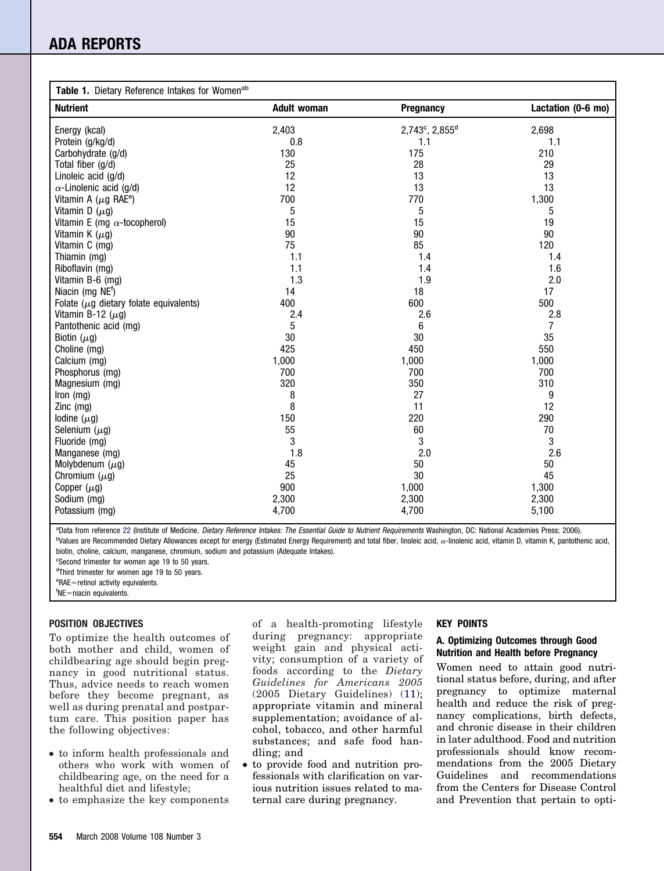## <span id="page-1-0"></span>**ADA REPORTS**

| Table 1. Dietary Reference Intakes for Womenab |                    |                            |                    |
|------------------------------------------------|--------------------|----------------------------|--------------------|
| <b>Nutrient</b>                                | <b>Adult woman</b> | Pregnancy                  | Lactation (0-6 mo) |
| Energy (kcal)                                  | 2,403              | 2,743°, 2,855 <sup>d</sup> | 2,698              |
| Protein (g/kg/d)                               | 0.8                | 1.1                        | 1.1                |
| Carbohydrate (g/d)                             | 130                | 175                        | 210                |
| Total fiber (g/d)                              | 25                 | 28                         | 29                 |
| Linoleic acid (q/d)                            | 12                 | 13                         | 13                 |
| $\alpha$ -Linolenic acid (g/d)                 | 12                 | 13                         | 13                 |
| Vitamin A ( $\mu$ g RAE <sup>e</sup> )         | 700                | 770                        | 1,300              |
| Vitamin D $(\mu g)$                            | 5                  | 5                          | 5                  |
| Vitamin E (mg $\alpha$ -tocopherol)            | 15                 | 15                         | 19                 |
| Vitamin K $(\mu g)$                            | 90                 | 90                         | 90                 |
| Vitamin C (mg)                                 | 75                 | 85                         | 120                |
| Thiamin (mg)                                   | 1.1                | 1.4                        | 1.4                |
| Riboflavin (mg)                                | 1.1                | 1.4                        | 1.6                |
| Vitamin B-6 (mg)                               | 1.3                | 1.9                        | 2.0                |
| Niacin (mg NE <sup>t</sup> )                   | 14                 | 18                         | 17                 |
| Folate ( $\mu$ g dietary folate equivalents)   | 400                | 600                        | 500                |
| Vitamin B-12 $(\mu g)$                         | 2.4                | 2.6                        | 2.8                |
| Pantothenic acid (mg)                          | 5                  | 6                          | 7                  |
| Biotin $(\mu q)$                               | 30                 | 30                         | 35                 |
| Choline (mg)                                   | 425                | 450                        | 550                |
| Calcium (mg)                                   | 1,000              | 1,000                      | 1,000              |
| Phosphorus (mg)                                | 700                | 700                        | 700                |
| Magnesium (mg)                                 | 320                | 350                        | 310                |
| Iron (mg)                                      | 8                  | 27                         | 9                  |
| $Zinc$ (mg)                                    | 8                  | 11                         | 12                 |
| lodine $(\mu g)$                               | 150                | 220                        | 290                |
| Selenium $(\mu g)$                             | 55                 | 60                         | $70\,$             |
| Fluoride (mg)                                  | 3                  | 3                          | 3                  |
| Manganese (mg)                                 | 1.8                | 2.0                        | 2.6                |
| Molybdenum $(\mu g)$                           | 45                 | 50                         | 50                 |
| Chromium $(\mu g)$                             | 25                 | 30                         | 45                 |
| Copper $(\mu g)$                               | 900                | 1,000                      | 1,300              |
| Sodium (mg)                                    | 2,300              | 2,300                      | 2,300              |
| Potassium (mg)                                 | 4,700              | 4,700                      | 5,100              |

a Data from reference [22](#page-7-0) (Institute of Medicine. *Dietary Reference Intakes: The Essential Guide to Nutrient Requirements* Washington, DC: National Academies Press; 2006). <sup>b</sup>Values are Recommended Dietary Allowances except for energy (Estimated Energy Requirement) and total fiber, linoleic acid, «-linolenic acid, vitamin D, vitamin K, pantothenic acid, biotin, choline, calcium, manganese, chromium, sodium and potassium (Adequate Intakes).

c Second trimester for women age 19 to 50 years.

<sup>d</sup>Third trimester for women age 19 to 50 years.

eRAE=retinol activity equivalents.

<sup>f</sup>NE=niacin equivalents.

#### **POSITION OBJECTIVES**

To optimize the health outcomes of both mother and child, women of childbearing age should begin pregnancy in good nutritional status. Thus, advice needs to reach women before they become pregnant, as well as during prenatal and postpartum care. This position paper has the following objectives:

- to inform health professionals and others who work with women of childbearing age, on the need for a healthful diet and lifestyle;
- to emphasize the key components

of a health-promoting lifestyle during pregnancy: appropriate weight gain and physical activity; consumption of a variety of foods according to the *Dietary Guidelines for Americans 2005* (2005 Dietary Guidelines) [\(11\)](#page-6-0); appropriate vitamin and mineral supplementation; avoidance of alcohol, tobacco, and other harmful substances; and safe food handling; and

● to provide food and nutrition professionals with clarification on various nutrition issues related to maternal care during pregnancy.

#### **KEY POINTS**

#### **A. Optimizing Outcomes through Good Nutrition and Health before Pregnancy**

Women need to attain good nutritional status before, during, and after pregnancy to optimize maternal health and reduce the risk of pregnancy complications, birth defects, and chronic disease in their children in later adulthood. Food and nutrition professionals should know recommendations from the 2005 Dietary Guidelines and recommendations from the Centers for Disease Control and Prevention that pertain to opti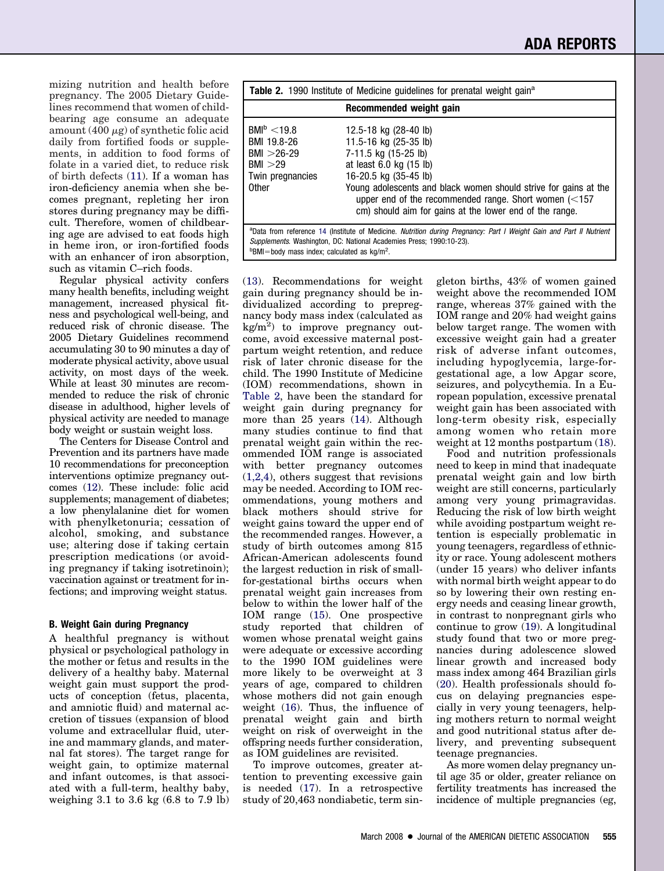mizing nutrition and health before pregnancy. The 2005 Dietary Guidelines recommend that women of childbearing age consume an adequate amount  $(400 \mu g)$  of synthetic folic acid daily from fortified foods or supplements, in addition to food forms of folate in a varied diet, to reduce risk of birth defects [\(11\)](#page-6-0). If a woman has iron-deficiency anemia when she becomes pregnant, repleting her iron stores during pregnancy may be difficult. Therefore, women of childbearing age are advised to eat foods high in heme iron, or iron-fortified foods with an enhancer of iron absorption, such as vitamin C–rich foods.

Regular physical activity confers many health benefits, including weight management, increased physical fitness and psychological well-being, and reduced risk of chronic disease. The 2005 Dietary Guidelines recommend accumulating 30 to 90 minutes a day of moderate physical activity, above usual activity, on most days of the week. While at least 30 minutes are recommended to reduce the risk of chronic disease in adulthood, higher levels of physical activity are needed to manage body weight or sustain weight loss.

The Centers for Disease Control and Prevention and its partners have made 10 recommendations for preconception interventions optimize pregnancy outcomes [\(12\)](#page-6-0). These include: folic acid supplements; management of diabetes; a low phenylalanine diet for women with phenylketonuria; cessation of alcohol, smoking, and substance use; altering dose if taking certain prescription medications (or avoiding pregnancy if taking isotretinoin); vaccination against or treatment for infections; and improving weight status.

#### **B. Weight Gain during Pregnancy**

A healthful pregnancy is without physical or psychological pathology in the mother or fetus and results in the delivery of a healthy baby. Maternal weight gain must support the products of conception (fetus, placenta, and amniotic fluid) and maternal accretion of tissues (expansion of blood volume and extracellular fluid, uterine and mammary glands, and maternal fat stores). The target range for weight gain, to optimize maternal and infant outcomes, is that associated with a full-term, healthy baby, weighing 3.1 to 3.6 kg (6.8 to 7.9 lb)

| <b>Table 2.</b> 1990 Institute of Medicine quidelines for prenatal weight gain <sup>a</sup>                                                                                                |                                                                                                                                                                                                                                                                                                                                        |  |
|--------------------------------------------------------------------------------------------------------------------------------------------------------------------------------------------|----------------------------------------------------------------------------------------------------------------------------------------------------------------------------------------------------------------------------------------------------------------------------------------------------------------------------------------|--|
| Recommended weight gain                                                                                                                                                                    |                                                                                                                                                                                                                                                                                                                                        |  |
| BM <sup>b</sup> < 19.8<br>BMI 19.8-26<br>$BMI > 26-29$<br>BMI > 29<br>Twin pregnancies<br><b>Other</b>                                                                                     | 12.5-18 kg (28-40 lb)<br>11.5-16 kg (25-35 lb)<br>7-11.5 kg (15-25 lb)<br>at least $6.0$ kg $(15 \text{ lb})$<br>16-20.5 kg (35-45 lb)<br>Young adolescents and black women should strive for gains at the<br>upper end of the recommended range. Short women $\approx 157$<br>cm) should aim for gains at the lower end of the range. |  |
| aData from reference 14 (Institute of Medicine. Nutrition during Pregnancy: Part I Weight Gain and Part II Nutrient<br>Supplements. Washington, DC: National Academies Press; 1990:10-23). |                                                                                                                                                                                                                                                                                                                                        |  |

 $b$ BMI=body mass index; calculated as kg/m<sup>2</sup>.

[\(13\)](#page-6-0). Recommendations for weight gain during pregnancy should be individualized according to prepregnancy body mass index (calculated as  $\text{kg/m}^2$  to improve pregnancy outcome, avoid excessive maternal postpartum weight retention, and reduce risk of later chronic disease for the child. The 1990 Institute of Medicine (IOM) recommendations, shown in Table 2, have been the standard for weight gain during pregnancy for more than 25 years [\(14\)](#page-7-0). Although many studies continue to find that prenatal weight gain within the recommended IOM range is associated with better pregnancy outcomes [\(1,2,4\)](#page-6-0), others suggest that revisions may be needed. According to IOM recommendations, young mothers and black mothers should strive for weight gains toward the upper end of the recommended ranges. However, a study of birth outcomes among 815 African-American adolescents found the largest reduction in risk of smallfor-gestational births occurs when prenatal weight gain increases from below to within the lower half of the IOM range [\(15\)](#page-7-0). One prospective study reported that children of women whose prenatal weight gains were adequate or excessive according to the 1990 IOM guidelines were more likely to be overweight at 3 years of age, compared to children whose mothers did not gain enough weight [\(16\)](#page-7-0). Thus, the influence of prenatal weight gain and birth weight on risk of overweight in the offspring needs further consideration, as IOM guidelines are revisited.

To improve outcomes, greater attention to preventing excessive gain is needed [\(17\)](#page-7-0). In a retrospective study of 20,463 nondiabetic, term singleton births, 43% of women gained weight above the recommended IOM range, whereas 37% gained with the IOM range and 20% had weight gains below target range. The women with excessive weight gain had a greater risk of adverse infant outcomes, including hypoglycemia, large-forgestational age, a low Apgar score, seizures, and polycythemia. In a European population, excessive prenatal weight gain has been associated with long-term obesity risk, especially among women who retain more weight at 12 months postpartum [\(18\)](#page-7-0).

Food and nutrition professionals need to keep in mind that inadequate prenatal weight gain and low birth weight are still concerns, particularly among very young primagravidas. Reducing the risk of low birth weight while avoiding postpartum weight retention is especially problematic in young teenagers, regardless of ethnicity or race. Young adolescent mothers (under 15 years) who deliver infants with normal birth weight appear to do so by lowering their own resting energy needs and ceasing linear growth, in contrast to nonpregnant girls who continue to grow [\(19\)](#page-7-0). A longitudinal study found that two or more pregnancies during adolescence slowed linear growth and increased body mass index among 464 Brazilian girls [\(20\)](#page-7-0). Health professionals should focus on delaying pregnancies especially in very young teenagers, helping mothers return to normal weight and good nutritional status after delivery, and preventing subsequent teenage pregnancies.

As more women delay pregnancy until age 35 or older, greater reliance on fertility treatments has increased the incidence of multiple pregnancies (eg,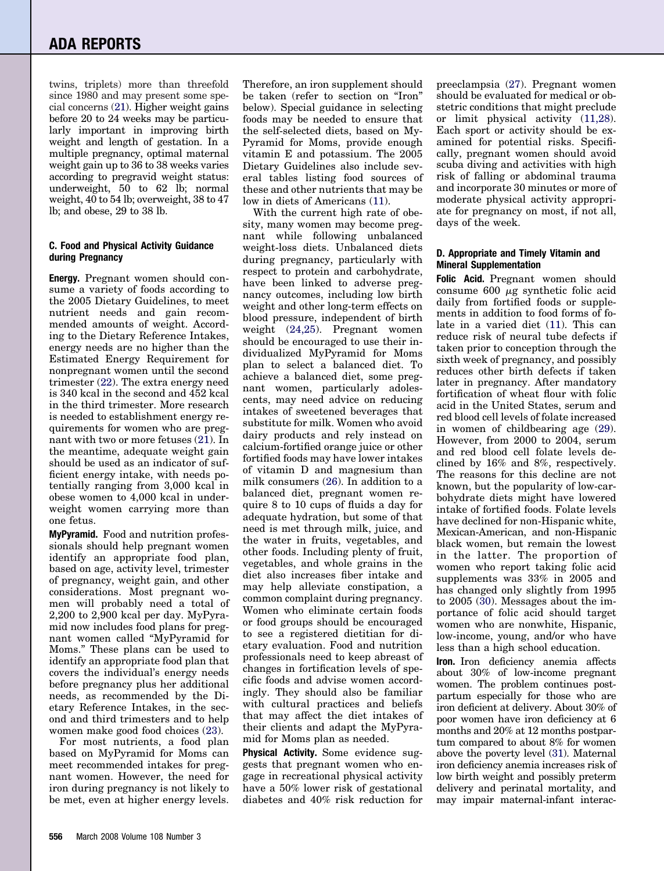twins, triplets) more than threefold since 1980 and may present some special concerns [\(21\)](#page-7-0). Higher weight gains before 20 to 24 weeks may be particularly important in improving birth weight and length of gestation. In a multiple pregnancy, optimal maternal weight gain up to 36 to 38 weeks varies according to pregravid weight status: underweight, 50 to 62 lb; normal weight, 40 to 54 lb; overweight, 38 to 47 lb; and obese, 29 to 38 lb.

#### **C. Food and Physical Activity Guidance during Pregnancy**

**Energy.** Pregnant women should consume a variety of foods according to the 2005 Dietary Guidelines, to meet nutrient needs and gain recommended amounts of weight. According to the Dietary Reference Intakes, energy needs are no higher than the Estimated Energy Requirement for nonpregnant women until the second trimester [\(22\)](#page-7-0). The extra energy need is 340 kcal in the second and 452 kcal in the third trimester. More research is needed to establishment energy requirements for women who are pregnant with two or more fetuses [\(21\)](#page-7-0). In the meantime, adequate weight gain should be used as an indicator of sufficient energy intake, with needs potentially ranging from 3,000 kcal in obese women to 4,000 kcal in underweight women carrying more than one fetus.

**MyPyramid.** Food and nutrition professionals should help pregnant women identify an appropriate food plan, based on age, activity level, trimester of pregnancy, weight gain, and other considerations. Most pregnant women will probably need a total of 2,200 to 2,900 kcal per day. MyPyramid now includes food plans for pregnant women called "MyPyramid for Moms." These plans can be used to identify an appropriate food plan that covers the individual's energy needs before pregnancy plus her additional needs, as recommended by the Dietary Reference Intakes, in the second and third trimesters and to help women make good food choices [\(23\)](#page-7-0).

For most nutrients, a food plan based on MyPyramid for Moms can meet recommended intakes for pregnant women. However, the need for iron during pregnancy is not likely to be met, even at higher energy levels. Therefore, an iron supplement should be taken (refer to section on "Iron" below). Special guidance in selecting foods may be needed to ensure that the self-selected diets, based on My-Pyramid for Moms, provide enough vitamin E and potassium. The 2005 Dietary Guidelines also include several tables listing food sources of these and other nutrients that may be low in diets of Americans [\(11\)](#page-6-0).

With the current high rate of obesity, many women may become pregnant while following unbalanced weight-loss diets. Unbalanced diets during pregnancy, particularly with respect to protein and carbohydrate, have been linked to adverse pregnancy outcomes, including low birth weight and other long-term effects on blood pressure, independent of birth weight [\(24,25\)](#page-7-0). Pregnant women should be encouraged to use their individualized MyPyramid for Moms plan to select a balanced diet. To achieve a balanced diet, some pregnant women, particularly adolescents, may need advice on reducing intakes of sweetened beverages that substitute for milk. Women who avoid dairy products and rely instead on calcium-fortified orange juice or other fortified foods may have lower intakes of vitamin D and magnesium than milk consumers [\(26\)](#page-7-0). In addition to a balanced diet, pregnant women require 8 to 10 cups of fluids a day for adequate hydration, but some of that need is met through milk, juice, and the water in fruits, vegetables, and other foods. Including plenty of fruit, vegetables, and whole grains in the diet also increases fiber intake and may help alleviate constipation, a common complaint during pregnancy. Women who eliminate certain foods or food groups should be encouraged to see a registered dietitian for dietary evaluation. Food and nutrition professionals need to keep abreast of changes in fortification levels of specific foods and advise women accordingly. They should also be familiar with cultural practices and beliefs that may affect the diet intakes of their clients and adapt the MyPyramid for Moms plan as needed.

**Physical Activity.** Some evidence suggests that pregnant women who engage in recreational physical activity have a 50% lower risk of gestational diabetes and 40% risk reduction for preeclampsia [\(27\)](#page-7-0). Pregnant women should be evaluated for medical or obstetric conditions that might preclude or limit physical activity [\(11,28\)](#page-6-0). Each sport or activity should be examined for potential risks. Specifically, pregnant women should avoid scuba diving and activities with high risk of falling or abdominal trauma and incorporate 30 minutes or more of moderate physical activity appropriate for pregnancy on most, if not all, days of the week.

#### **D. Appropriate and Timely Vitamin and Mineral Supplementation**

**Folic Acid.** Pregnant women should consume  $600 \mu g$  synthetic folic acid daily from fortified foods or supplements in addition to food forms of folate in a varied diet [\(11\)](#page-6-0). This can reduce risk of neural tube defects if taken prior to conception through the sixth week of pregnancy, and possibly reduces other birth defects if taken later in pregnancy. After mandatory fortification of wheat flour with folic acid in the United States, serum and red blood cell levels of folate increased in women of childbearing age [\(29\)](#page-7-0). However, from 2000 to 2004, serum and red blood cell folate levels declined by 16% and 8%, respectively. The reasons for this decline are not known, but the popularity of low-carbohydrate diets might have lowered intake of fortified foods. Folate levels have declined for non-Hispanic white, Mexican-American, and non-Hispanic black women, but remain the lowest in the latter. The proportion of women who report taking folic acid supplements was 33% in 2005 and has changed only slightly from 1995 to 2005 [\(30\)](#page-7-0). Messages about the importance of folic acid should target women who are nonwhite, Hispanic, low-income, young, and/or who have less than a high school education.

**Iron.** Iron deficiency anemia affects about 30% of low-income pregnant women. The problem continues postpartum especially for those who are iron deficient at delivery. About 30% of poor women have iron deficiency at 6 months and 20% at 12 months postpartum compared to about 8% for women above the poverty level [\(31\)](#page-7-0). Maternal iron deficiency anemia increases risk of low birth weight and possibly preterm delivery and perinatal mortality, and may impair maternal-infant interac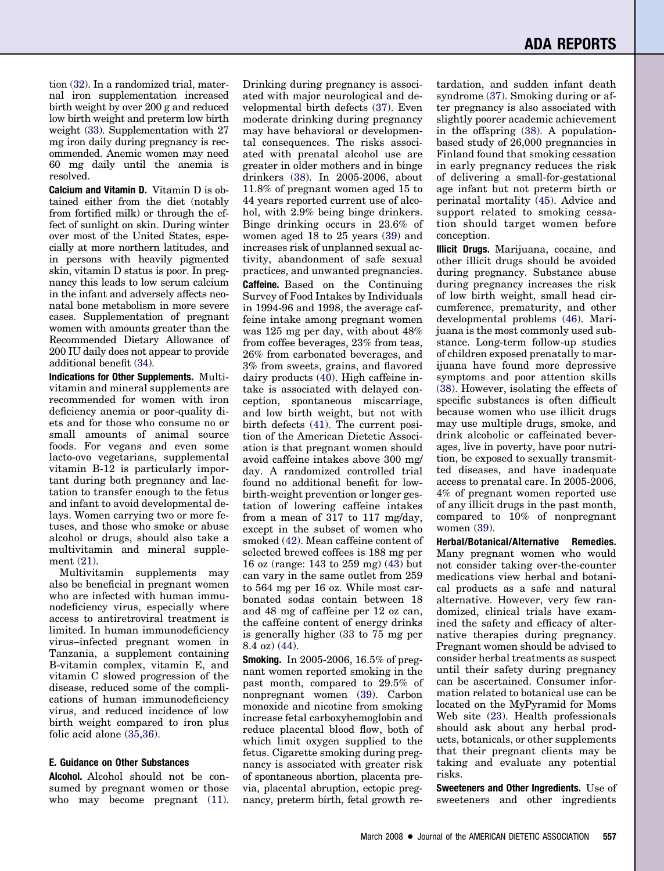tion [\(32\)](#page-7-0). In a randomized trial, maternal iron supplementation increased birth weight by over 200 g and reduced low birth weight and preterm low birth weight [\(33\)](#page-7-0). Supplementation with 27 mg iron daily during pregnancy is recommended. Anemic women may need 60 mg daily until the anemia is resolved.

**Calcium and Vitamin D.** Vitamin D is obtained either from the diet (notably from fortified milk) or through the effect of sunlight on skin. During winter over most of the United States, especially at more northern latitudes, and in persons with heavily pigmented skin, vitamin D status is poor. In pregnancy this leads to low serum calcium in the infant and adversely affects neonatal bone metabolism in more severe cases. Supplementation of pregnant women with amounts greater than the Recommended Dietary Allowance of 200 IU daily does not appear to provide additional benefit [\(34\)](#page-7-0).

**Indications for Other Supplements.** Multivitamin and mineral supplements are recommended for women with iron deficiency anemia or poor-quality diets and for those who consume no or small amounts of animal source foods. For vegans and even some lacto-ovo vegetarians, supplemental vitamin B-12 is particularly important during both pregnancy and lactation to transfer enough to the fetus and infant to avoid developmental delays. Women carrying two or more fetuses, and those who smoke or abuse alcohol or drugs, should also take a multivitamin and mineral supplement [\(21\)](#page-7-0).

Multivitamin supplements may also be beneficial in pregnant women who are infected with human immunodeficiency virus, especially where access to antiretroviral treatment is limited. In human immunodeficiency virus–infected pregnant women in Tanzania, a supplement containing B-vitamin complex, vitamin E, and vitamin C slowed progression of the disease, reduced some of the complications of human immunodeficiency virus, and reduced incidence of low birth weight compared to iron plus folic acid alone [\(35,36\)](#page-7-0).

#### **E. Guidance on Other Substances**

**Alcohol.** Alcohol should not be consumed by pregnant women or those who may become pregnant  $(11)$ . Drinking during pregnancy is associated with major neurological and developmental birth defects [\(37\)](#page-7-0). Even moderate drinking during pregnancy may have behavioral or developmental consequences. The risks associated with prenatal alcohol use are greater in older mothers and in binge drinkers [\(38\)](#page-7-0). In 2005-2006, about 11.8% of pregnant women aged 15 to 44 years reported current use of alcohol, with 2.9% being binge drinkers. Binge drinking occurs in 23.6% of women aged 18 to 25 years [\(39\)](#page-7-0) and increases risk of unplanned sexual activity, abandonment of safe sexual practices, and unwanted pregnancies. **Caffeine.** Based on the Continuing Survey of Food Intakes by Individuals in 1994-96 and 1998, the average caffeine intake among pregnant women was 125 mg per day, with about 48% from coffee beverages, 23% from teas,

26% from carbonated beverages, and 3% from sweets, grains, and flavored dairy products [\(40\)](#page-7-0). High caffeine intake is associated with delayed conception, spontaneous miscarriage, and low birth weight, but not with birth defects [\(41\)](#page-7-0). The current position of the American Dietetic Association is that pregnant women should avoid caffeine intakes above 300 mg/ day. A randomized controlled trial found no additional benefit for lowbirth-weight prevention or longer gestation of lowering caffeine intakes from a mean of 317 to 117 mg/day, except in the subset of women who smoked [\(42\)](#page-7-0). Mean caffeine content of selected brewed coffees is 188 mg per 16 oz (range: 143 to 259 mg) [\(43\)](#page-7-0) but can vary in the same outlet from 259 to 564 mg per 16 oz. While most carbonated sodas contain between 18 and 48 mg of caffeine per 12 oz can, the caffeine content of energy drinks is generally higher (33 to 75 mg per 8.4 oz) [\(44\)](#page-7-0).

**Smoking.** In 2005-2006, 16.5% of pregnant women reported smoking in the past month, compared to 29.5% of nonpregnant women [\(39\)](#page-7-0). Carbon monoxide and nicotine from smoking increase fetal carboxyhemoglobin and reduce placental blood flow, both of which limit oxygen supplied to the fetus. Cigarette smoking during pregnancy is associated with greater risk of spontaneous abortion, placenta previa, placental abruption, ectopic pregnancy, preterm birth, fetal growth retardation, and sudden infant death syndrome [\(37\)](#page-7-0). Smoking during or after pregnancy is also associated with slightly poorer academic achievement in the offspring [\(38\)](#page-7-0). A populationbased study of 26,000 pregnancies in Finland found that smoking cessation in early pregnancy reduces the risk of delivering a small-for-gestational age infant but not preterm birth or perinatal mortality [\(45\)](#page-7-0). Advice and support related to smoking cessation should target women before conception.

**Illicit Drugs.** Marijuana, cocaine, and other illicit drugs should be avoided during pregnancy. Substance abuse during pregnancy increases the risk of low birth weight, small head circumference, prematurity, and other developmental problems [\(46\)](#page-7-0). Marijuana is the most commonly used substance. Long-term follow-up studies of children exposed prenatally to marijuana have found more depressive symptoms and poor attention skills [\(38\)](#page-7-0). However, isolating the effects of specific substances is often difficult because women who use illicit drugs may use multiple drugs, smoke, and drink alcoholic or caffeinated beverages, live in poverty, have poor nutrition, be exposed to sexually transmitted diseases, and have inadequate access to prenatal care. In 2005-2006, 4% of pregnant women reported use of any illicit drugs in the past month, compared to 10% of nonpregnant women [\(39\)](#page-7-0).

**Herbal/Botanical/Alternative Remedies.** Many pregnant women who would not consider taking over-the-counter medications view herbal and botanical products as a safe and natural alternative. However, very few randomized, clinical trials have examined the safety and efficacy of alternative therapies during pregnancy. Pregnant women should be advised to consider herbal treatments as suspect until their safety during pregnancy can be ascertained. Consumer information related to botanical use can be located on the MyPyramid for Moms Web site [\(23\)](#page-7-0). Health professionals should ask about any herbal products, botanicals, or other supplements that their pregnant clients may be taking and evaluate any potential risks.

**Sweeteners and Other Ingredients.** Use of sweeteners and other ingredients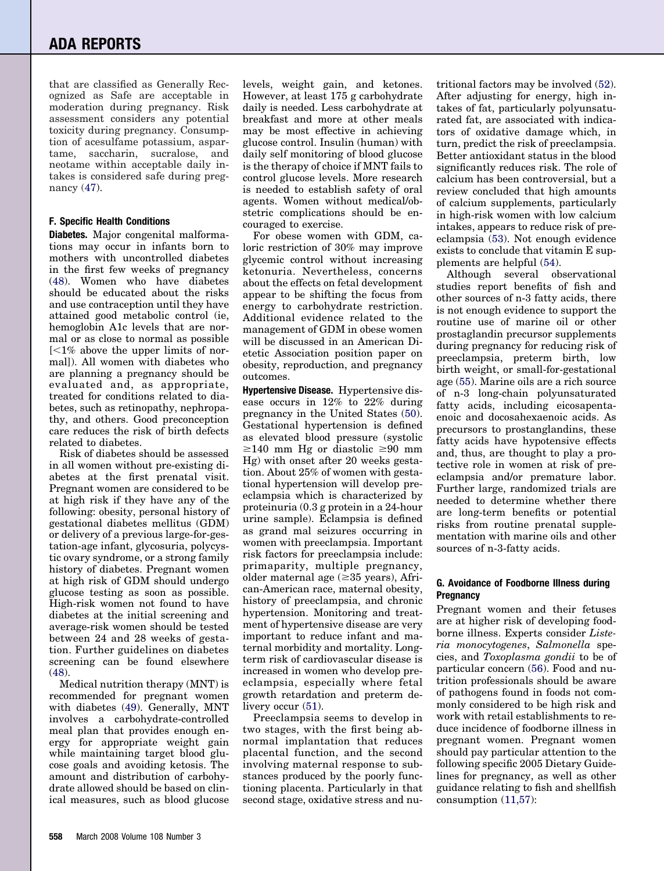that are classified as Generally Recognized as Safe are acceptable in moderation during pregnancy. Risk assessment considers any potential toxicity during pregnancy. Consumption of acesulfame potassium, aspartame, saccharin, sucralose, and neotame within acceptable daily intakes is considered safe during pregnancy [\(47\)](#page-7-0).

#### **F. Specific Health Conditions**

**Diabetes.** Major congenital malformations may occur in infants born to mothers with uncontrolled diabetes in the first few weeks of pregnancy [\(48\)](#page-7-0). Women who have diabetes should be educated about the risks and use contraception until they have attained good metabolic control (ie, hemoglobin A1c levels that are normal or as close to normal as possible  $\approx$  1% above the upper limits of normal]). All women with diabetes who are planning a pregnancy should be evaluated and, as appropriate, treated for conditions related to diabetes, such as retinopathy, nephropathy, and others. Good preconception care reduces the risk of birth defects related to diabetes.

Risk of diabetes should be assessed in all women without pre-existing diabetes at the first prenatal visit. Pregnant women are considered to be at high risk if they have any of the following: obesity, personal history of gestational diabetes mellitus (GDM) or delivery of a previous large-for-gestation-age infant, glycosuria, polycystic ovary syndrome, or a strong family history of diabetes. Pregnant women at high risk of GDM should undergo glucose testing as soon as possible. High-risk women not found to have diabetes at the initial screening and average-risk women should be tested between 24 and 28 weeks of gestation. Further guidelines on diabetes screening can be found elsewhere [\(48\)](#page-7-0).

Medical nutrition therapy (MNT) is recommended for pregnant women with diabetes [\(49\)](#page-7-0). Generally, MNT involves a carbohydrate-controlled meal plan that provides enough energy for appropriate weight gain while maintaining target blood glucose goals and avoiding ketosis. The amount and distribution of carbohydrate allowed should be based on clinical measures, such as blood glucose levels, weight gain, and ketones. However, at least 175 g carbohydrate daily is needed. Less carbohydrate at breakfast and more at other meals may be most effective in achieving glucose control. Insulin (human) with daily self monitoring of blood glucose is the therapy of choice if MNT fails to control glucose levels. More research is needed to establish safety of oral agents. Women without medical/obstetric complications should be encouraged to exercise.

For obese women with GDM, caloric restriction of 30% may improve glycemic control without increasing ketonuria. Nevertheless, concerns about the effects on fetal development appear to be shifting the focus from energy to carbohydrate restriction. Additional evidence related to the management of GDM in obese women will be discussed in an American Dietetic Association position paper on obesity, reproduction, and pregnancy outcomes.

**Hypertensive Disease.** Hypertensive disease occurs in 12% to 22% during pregnancy in the United States [\(50\)](#page-7-0). Gestational hypertension is defined as elevated blood pressure (systolic  $\geq 140$  mm Hg or diastolic  $\geq 90$  mm Hg) with onset after 20 weeks gestation. About 25% of women with gestational hypertension will develop preeclampsia which is characterized by proteinuria (0.3 g protein in a 24-hour urine sample). Eclampsia is defined as grand mal seizures occurring in women with preeclampsia. Important risk factors for preeclampsia include: primaparity, multiple pregnancy, older maternal age  $(\geq 35$  years), African-American race, maternal obesity, history of preeclampsia, and chronic hypertension. Monitoring and treatment of hypertensive disease are very important to reduce infant and maternal morbidity and mortality. Longterm risk of cardiovascular disease is increased in women who develop preeclampsia, especially where fetal growth retardation and preterm delivery occur  $(51)$ .

Preeclampsia seems to develop in two stages, with the first being abnormal implantation that reduces placental function, and the second involving maternal response to substances produced by the poorly functioning placenta. Particularly in that second stage, oxidative stress and nutritional factors may be involved [\(52\)](#page-7-0). After adjusting for energy, high intakes of fat, particularly polyunsaturated fat, are associated with indicators of oxidative damage which, in turn, predict the risk of preeclampsia. Better antioxidant status in the blood significantly reduces risk. The role of calcium has been controversial, but a review concluded that high amounts of calcium supplements, particularly in high-risk women with low calcium intakes, appears to reduce risk of preeclampsia [\(53\)](#page-7-0). Not enough evidence exists to conclude that vitamin E supplements are helpful [\(54\)](#page-7-0).

Although several observational studies report benefits of fish and other sources of n-3 fatty acids, there is not enough evidence to support the routine use of marine oil or other prostaglandin precursor supplements during pregnancy for reducing risk of preeclampsia, preterm birth, low birth weight, or small-for-gestational age [\(55\)](#page-7-0). Marine oils are a rich source of n-3 long-chain polyunsaturated fatty acids, including eicosapentaenoic and docosahexaenoic acids. As precursors to prostanglandins, these fatty acids have hypotensive effects and, thus, are thought to play a protective role in women at risk of preeclampsia and/or premature labor. Further large, randomized trials are needed to determine whether there are long-term benefits or potential risks from routine prenatal supplementation with marine oils and other sources of n-3-fatty acids.

#### **G. Avoidance of Foodborne Illness during Pregnancy**

Pregnant women and their fetuses are at higher risk of developing foodborne illness. Experts consider *Listeria monocytogenes*, *Salmonella* species, and *Toxoplasma gondii* to be of particular concern [\(56\)](#page-7-0). Food and nutrition professionals should be aware of pathogens found in foods not commonly considered to be high risk and work with retail establishments to reduce incidence of foodborne illness in pregnant women. Pregnant women should pay particular attention to the following specific 2005 Dietary Guidelines for pregnancy, as well as other guidance relating to fish and shellfish consumption [\(11,57\)](#page-6-0):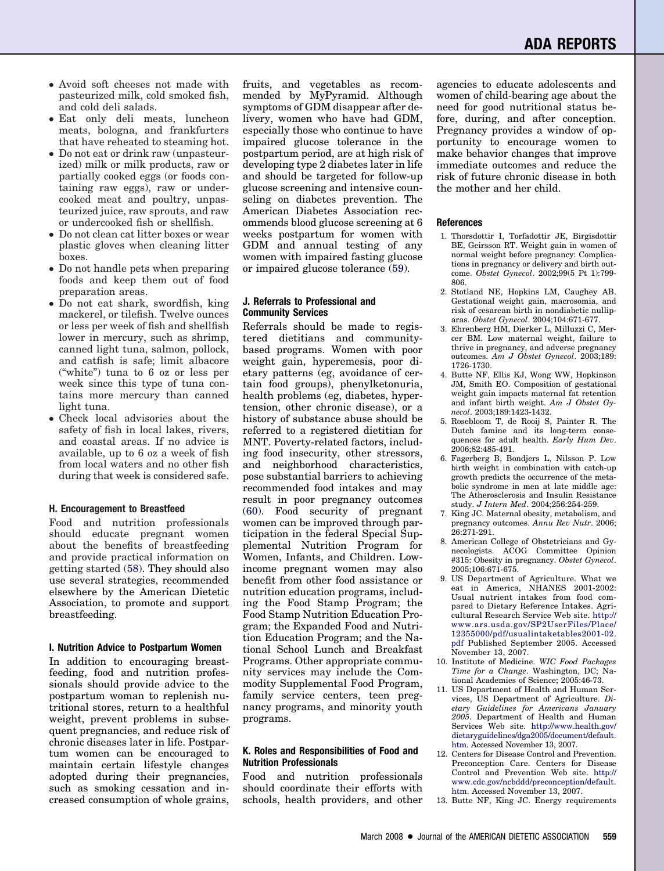- <span id="page-6-0"></span>• Avoid soft cheeses not made with pasteurized milk, cold smoked fish, and cold deli salads.
- Eat only deli meats, luncheon meats, bologna, and frankfurters that have reheated to steaming hot.
- Do not eat or drink raw (unpasteurized) milk or milk products, raw or partially cooked eggs (or foods containing raw eggs), raw or undercooked meat and poultry, unpasteurized juice, raw sprouts, and raw or undercooked fish or shellfish.
- Do not clean cat litter boxes or wear plastic gloves when cleaning litter boxes.
- Do not handle pets when preparing foods and keep them out of food preparation areas.
- Do not eat shark, swordfish, king mackerel, or tilefish. Twelve ounces or less per week of fish and shellfish lower in mercury, such as shrimp, canned light tuna, salmon, pollock, and catfish is safe; limit albacore ("white") tuna to 6 oz or less per week since this type of tuna contains more mercury than canned light tuna.
- Check local advisories about the safety of fish in local lakes, rivers, and coastal areas. If no advice is available, up to 6 oz a week of fish from local waters and no other fish during that week is considered safe.

#### **H. Encouragement to Breastfeed**

Food and nutrition professionals should educate pregnant women about the benefits of breastfeeding and provide practical information on getting started [\(58\)](#page-7-0). They should also use several strategies, recommended elsewhere by the American Dietetic Association, to promote and support breastfeeding.

#### **I. Nutrition Advice to Postpartum Women**

In addition to encouraging breastfeeding, food and nutrition professionals should provide advice to the postpartum woman to replenish nutritional stores, return to a healthful weight, prevent problems in subsequent pregnancies, and reduce risk of chronic diseases later in life. Postpartum women can be encouraged to maintain certain lifestyle changes adopted during their pregnancies, such as smoking cessation and increased consumption of whole grains, fruits, and vegetables as recommended by MyPyramid. Although symptoms of GDM disappear after delivery, women who have had GDM, especially those who continue to have impaired glucose tolerance in the postpartum period, are at high risk of developing type 2 diabetes later in life and should be targeted for follow-up glucose screening and intensive counseling on diabetes prevention. The American Diabetes Association recommends blood glucose screening at 6 weeks postpartum for women with GDM and annual testing of any women with impaired fasting glucose or impaired glucose tolerance [\(59\)](#page-7-0).

#### **J. Referrals to Professional and Community Services**

Referrals should be made to registered dietitians and communitybased programs. Women with poor weight gain, hyperemesis, poor dietary patterns (eg, avoidance of certain food groups), phenylketonuria, health problems (eg, diabetes, hypertension, other chronic disease), or a history of substance abuse should be referred to a registered dietitian for MNT. Poverty-related factors, including food insecurity, other stressors, and neighborhood characteristics, pose substantial barriers to achieving recommended food intakes and may result in poor pregnancy outcomes [\(60\)](#page-7-0). Food security of pregnant women can be improved through participation in the federal Special Supplemental Nutrition Program for Women, Infants, and Children. Lowincome pregnant women may also benefit from other food assistance or nutrition education programs, including the Food Stamp Program; the Food Stamp Nutrition Education Program; the Expanded Food and Nutrition Education Program; and the National School Lunch and Breakfast Programs. Other appropriate community services may include the Commodity Supplemental Food Program, family service centers, teen pregnancy programs, and minority youth programs.

#### **K. Roles and Responsibilities of Food and Nutrition Professionals**

Food and nutrition professionals should coordinate their efforts with schools, health providers, and other agencies to educate adolescents and women of child-bearing age about the need for good nutritional status before, during, and after conception. Pregnancy provides a window of opportunity to encourage women to make behavior changes that improve immediate outcomes and reduce the risk of future chronic disease in both the mother and her child.

#### **References**

- 1. Thorsdottir I, Torfadottir JE, Birgisdottir BE, Geirsson RT. Weight gain in women of normal weight before pregnancy: Complications in pregnancy or delivery and birth outcome. *Obstet Gynecol*. 2002;99(5 Pt 1):799- 806.
- 2. Stotland NE, Hopkins LM, Caughey AB. Gestational weight gain, macrosomia, and risk of cesarean birth in nondiabetic nulliparas. *Obstet Gynecol*. 2004;104:671-677.
- 3. Ehrenberg HM, Dierker L, Milluzzi C, Mercer BM. Low maternal weight, failure to thrive in pregnancy, and adverse pregnancy outcomes. *Am J Obstet Gynecol*. 2003;189: 1726-1730.
- 4. Butte NF, Ellis KJ, Wong WW, Hopkinson JM, Smith EO. Composition of gestational weight gain impacts maternal fat retention and infant birth weight. *Am J Obstet Gynecol*. 2003;189:1423-1432.
- 5. Rosebloom T, de Rooij S, Painter R. The Dutch famine and its long-term consequences for adult health. *Early Hum Dev*. 2006;82:485-491.
- 6. Fagerberg B, Bondjers L, Nilsson P. Low birth weight in combination with catch-up growth predicts the occurrence of the metabolic syndrome in men at late middle age: The Atherosclerosis and Insulin Resistance study. *J Intern Med*. 2004;256:254-259.
- 7. King JC. Maternal obesity, metabolism, and pregnancy outcomes. *Annu Rev Nutr*. 2006; 26:271-291.
- 8. American College of Obstetricians and Gynecologists. ACOG Committee Opinion #315: Obesity in pregnancy. *Obstet Gynecol*. 2005;106:671-675.
- 9. US Department of Agriculture. What we eat in America, NHANES 2001-2002: Usual nutrient intakes from food compared to Dietary Reference Intakes. Agricultural Research Service Web site. [http://](http://www.ars.usda.gov/SP2UserFiles/Place/12355000/pdf/usualintaketables2001-02.pdf) [www.ars.usda.gov/SP2UserFiles/Place/](http://www.ars.usda.gov/SP2UserFiles/Place/12355000/pdf/usualintaketables2001-02.pdf) [12355000/pdf/usualintaketables2001-02.](http://www.ars.usda.gov/SP2UserFiles/Place/12355000/pdf/usualintaketables2001-02.pdf) [pdf](http://www.ars.usda.gov/SP2UserFiles/Place/12355000/pdf/usualintaketables2001-02.pdf) Published September 2005. Accessed November 13, 2007.
- 10. Institute of Medicine. *WIC Food Packages Time for a Change*. Washington, DC; National Academies of Science; 2005:46-73.
- 11. US Department of Health and Human Services, US Department of Agriculture. *Dietary Guidelines for Americans January 2005*. Department of Health and Human Services Web site. [http://www.health.gov/](http://www.health.gov/dietaryguidelines/dga2005/document/default.htm) [dietaryguidelines/dga2005/document/default.](http://www.health.gov/dietaryguidelines/dga2005/document/default.htm) [htm.](http://www.health.gov/dietaryguidelines/dga2005/document/default.htm) Accessed November 13, 2007.
- 12. Centers for Disease Control and Prevention. Preconception Care. Centers for Disease Control and Prevention Web site. [http://](http://www.cdc.gov/ncbddd/preconception/default.htm) [www.cdc.gov/ncbddd/preconception/default.](http://www.cdc.gov/ncbddd/preconception/default.htm) [htm.](http://www.cdc.gov/ncbddd/preconception/default.htm) Accessed November 13, 2007.
- 13. Butte NF, King JC. Energy requirements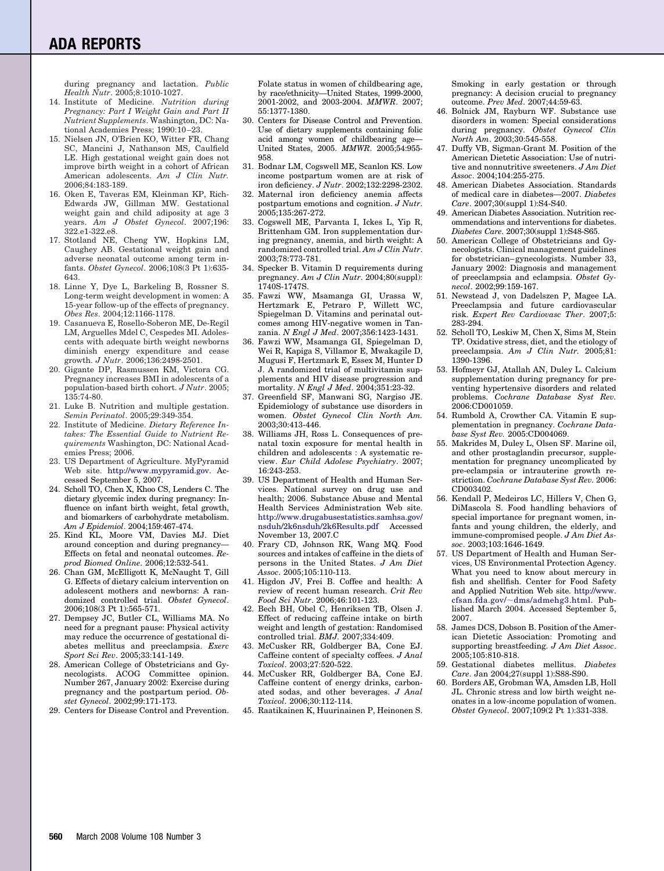### <span id="page-7-0"></span>**ADA REPORTS**

during pregnancy and lactation. *Public Health Nutr*. 2005;8:1010-1027.

- 14. Institute of Medicine. *Nutrition during Pregnancy: Part I Weight Gain and Part II Nutrient Supplements*. Washington, DC: National Academies Press; 1990:10 –23.
- 15. Nielsen JN, O'Brien KO, Witter FR, Chang SC, Mancini J, Nathanson MS, Caulfield LE. High gestational weight gain does not improve birth weight in a cohort of African American adolescents. *Am J Clin Nutr.* 2006;84:183-189.
- 16. Oken E, Taveras EM, Kleinman KP, Rich-Edwards JW, Gillman MW. Gestational weight gain and child adiposity at age 3 years. *Am J Obstet Gynecol*. 2007;196: 322.e1-322.e8.
- 17. Stotland NE, Cheng YW, Hopkins LM, Caughey AB. Gestational weight gain and adverse neonatal outcome among term infants. *Obstet Gynecol*. 2006;108(3 Pt 1):635- 643.
- 18. Linne Y, Dye L, Barkeling B, Rossner S. Long-term weight development in women: A 15-year follow-up of the effects of pregnancy. *Obes Res*. 2004;12:1166-1178.
- 19. Casanueva E, Rosello-Soberon ME, De-Regil LM, Arguelles Mdel C, Cespedes MI. Adolescents with adequate birth weight newborns diminish energy expenditure and cease growth. *J Nutr*. 2006;136:2498-2501.
- 20. Gigante DP, Rasmussen KM, Victora CG. Pregnancy increases BMI in adolescents of a population-based birth cohort. *J Nutr*. 2005; 135:74-80.
- 21. Luke B. Nutrition and multiple gestation. *Semin Perinatol*. 2005;29:349-354.
- 22. Institute of Medicine. *Dietary Reference Intakes: The Essential Guide to Nutrient Requirements* Washington, DC: National Academies Press; 2006.
- 23. US Department of Agriculture. MyPyramid Web site. [http://www.mypyramid.gov.](http://www.mypyramid.gov) Accessed September 5, 2007.
- 24. Scholl TO, Chen X, Khoo CS, Lenders C. The dietary glycemic index during pregnancy: Influence on infant birth weight, fetal growth, and biomarkers of carbohydrate metabolism. *Am J Epidemiol*. 2004;159:467-474.
- 25. Kind KL, Moore VM, Davies MJ. Diet around conception and during pregnancy— Effects on fetal and neonatal outcomes. *Reprod Biomed Online*. 2006;12:532-541.
- 26. Chan GM, McElligott K, McNaught T, Gill G. Effects of dietary calcium intervention on adolescent mothers and newborns: A randomized controlled trial. *Obstet Gynecol*. 2006;108(3 Pt 1):565-571.
- 27. Dempsey JC, Butler CL, Williams MA. No need for a pregnant pause: Physical activity may reduce the occurrence of gestational diabetes mellitus and preeclampsia. *Exerc Sport Sci Rev*. 2005;33:141-149.
- 28. American College of Obstetricians and Gynecologists. ACOG Committee opinion. Number 267, January 2002: Exercise during pregnancy and the postpartum period. *Obstet Gynecol*. 2002;99:171-173.
- 29. Centers for Disease Control and Prevention.

Folate status in women of childbearing age, by race/ethnicity—United States, 1999-2000, 2001-2002, and 2003-2004. *MMWR*. 2007; 55:1377-1380.

- 30. Centers for Disease Control and Prevention. Use of dietary supplements containing folic acid among women of childbearing age-United States, 2005. *MMWR*. 2005;54:955- 958.
- 31. Bodnar LM, Cogswell ME, Scanlon KS. Low income postpartum women are at risk of iron deficiency. *J Nutr*. 2002;132:2298-2302.
- 32. Maternal iron deficiency anemia affects postpartum emotions and cognition. *J Nutr*. 2005;135:267-272.
- 33. Cogswell ME, Parvanta I, Ickes L, Yip R, Brittenham GM. Iron supplementation during pregnancy, anemia, and birth weight: A randomized controlled trial. *Am J Clin Nutr*. 2003;78:773-781.
- 34. Specker B. Vitamin D requirements during pregnancy. *Am J Clin Nutr*. 2004;80(suppl): 1740S-1747S.
- 35. Fawzi WW, Msamanga GI, Urassa W, Hertzmark E, Petraro P, Willett WC, Spiegelman D. Vitamins and perinatal outcomes among HIV-negative women in Tanzania. *N Engl J Med*. 2007;356:1423-1431.
- 36. Fawzi WW, Msamanga GI, Spiegelman D, Wei R, Kapiga S, Villamor E, Mwakagile D, Mugusi F, Hertzmark E, Essex M, Hunter D J. A randomized trial of multivitamin supplements and HIV disease progression and mortality. *N Engl J Med*. 2004;351:23-32.
- 37. Greenfield SF, Manwani SG, Nargiso JE. Epidemiology of substance use disorders in women. *Obstet Gynecol Clin North Am.* 2003;30:413-446.
- 38. Williams JH, Ross L. Consequences of prenatal toxin exposure for mental health in children and adolescents : A systematic review. *Eur Child Adolesc Psychiatry*. 2007; 16:243-253.
- 39. US Department of Health and Human Services. National survey on drug use and health; 2006. Substance Abuse and Mental Health Services Administration Web site. [http://www.drugabusestatistics.samhsa.gov/](http://www.drugabusestatistics.samhsa.gov/nsduh/2k6nsduh/2k6Results.pdf) [nsduh/2k6nsduh/2k6Results.pdf](http://www.drugabusestatistics.samhsa.gov/nsduh/2k6nsduh/2k6Results.pdf) Accessed November 13, 2007.C
- 40. Frary CD, Johnson RK, Wang MQ. Food sources and intakes of caffeine in the diets of persons in the United States. *J Am Diet Assoc*. 2005;105:110-113.
- 41. Higdon JV, Frei B. Coffee and health: A review of recent human research. *Crit Rev Food Sci Nutr*. 2006;46:101-123.
- 42. Bech BH, Obel C, Henriksen TB, Olsen J. Effect of reducing caffeine intake on birth weight and length of gestation: Randomised controlled trial. *BMJ.* 2007;334:409.
- 43. McCusker RR, Goldberger BA, Cone EJ. Caffeine content of specialty coffees. *J Anal Toxicol*. 2003;27:520-522.
- 44. McCusker RR, Goldberger BA, Cone EJ. Caffeine content of energy drinks, carbonated sodas, and other beverages. *J Anal Toxicol*. 2006;30:112-114.
- 45. Raatikainen K, Huurinainen P, Heinonen S.

Smoking in early gestation or through pregnancy: A decision crucial to pregnancy outcome. *Prev Med*. 2007;44:59-63.

- 46. Bolnick JM, Rayburn WF. Substance use disorders in women: Special considerations during pregnancy. *Obstet Gynecol Clin North Am*. 2003;30:545-558.
- 47. Duffy VB, Sigman-Grant M. Position of the American Dietetic Association: Use of nutritive and nonnutritive sweeteners. *J Am Diet Assoc*. 2004;104:255-275.
- 48. American Diabetes Association. Standards of medical care in diabetes—2007. *Diabetes Care*. 2007;30(suppl 1):S4-S40.
- 49. American Diabetes Association. Nutrition recommendations and interventions for diabetes. *Diabetes Care*. 2007;30(suppl 1):S48-S65.
- 50. American College of Obstetricians and Gynecologists. Clinical management guidelines for obstetrician– gynecologists. Number 33, January 2002: Diagnosis and management of preeclampsia and eclampsia. *Obstet Gynecol*. 2002;99:159-167.
- 51. Newstead J, von Dadelszen P, Magee LA. Preeclampsia and future cardiovascular risk. *Expert Rev Cardiovasc Ther*. 2007;5: 283-294.
- 52. Scholl TO, Leskiw M, Chen X, Sims M, Stein TP. Oxidative stress, diet, and the etiology of preeclampsia. *Am J Clin Nutr.* 2005;81: 1390-1396.
- 53. Hofmeyr GJ, Atallah AN, Duley L. Calcium supplementation during pregnancy for preventing hypertensive disorders and related problems. *Cochrane Database Syst Rev.* 2006:CD001059.
- 54. Rumbold A, Crowther CA. Vitamin E supplementation in pregnancy. *Cochrane Database Syst Rev.* 2005:CD004069.
- 55. Makrides M, Duley L, Olsen SF. Marine oil, and other prostaglandin precursor, supplementation for pregnancy uncomplicated by pre-eclampsia or intrauterine growth restriction. *Cochrane Database Syst Rev.* 2006: CD003402.
- 56. Kendall P, Medeiros LC, Hillers V, Chen G, DiMascola S. Food handling behaviors of special importance for pregnant women, infants and young children, the elderly, and immune-compromised people. *J Am Diet Assoc*. 2003;103:1646-1649.
- 57. US Department of Health and Human Services, US Environmental Protection Agency. What you need to know about mercury in fish and shellfish. Center for Food Safety and Applied Nutrition Web site. [http://www.](http://www.cfsan.fda.gov/dms/admehg3.html) cfsan.fda.gov/~[dms/admehg3.html.](http://www.cfsan.fda.gov/dms/admehg3.html) Published March 2004. Accessed September 5, 2007.
- 58. James DCS, Dobson B. Position of the American Dietetic Association: Promoting and supporting breastfeeding. *J Am Diet Assoc*. 2005;105:810-818.
- 59. Gestational diabetes mellitus. *Diabetes Care*. Jan 2004;27(suppl 1):S88-S90.
- 60. Borders AE, Grobman WA, Amsden LB, Holl JL. Chronic stress and low birth weight neonates in a low-income population of women. *Obstet Gynecol*. 2007;109(2 Pt 1):331-338.